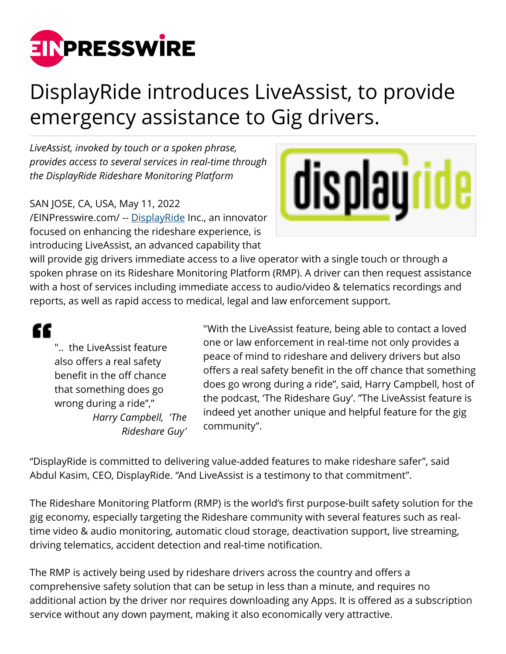

## DisplayRide introduces LiveAssist, to provide emergency assistance to Gig drivers.

*LiveAssist, invoked by touch or a spoken phrase, provides access to several services in real-time through the DisplayRide Rideshare Monitoring Platform*

## SAN JOSE, CA, USA, May 11, 2022

[/EINPresswire.com/](http://www.einpresswire.com) -- [DisplayRide](http://www.displayride.com) Inc., an innovator focused on enhancing the rideshare experience, is introducing LiveAssist, an advanced capability that



will provide gig drivers immediate access to a live operator with a single touch or through a spoken phrase on its Rideshare Monitoring Platform (RMP). A driver can then request assistance with a host of services including immediate access to audio/video & telematics recordings and reports, as well as rapid access to medical, legal and law enforcement support.

## ££

".. the LiveAssist feature also offers a real safety benefit in the off chance that something does go wrong during a ride"," *Harry Campbell, 'The Rideshare Guy'*

"With the LiveAssist feature, being able to contact a loved one or law enforcement in real-time not only provides a peace of mind to rideshare and delivery drivers but also offers a real safety benefit in the off chance that something does go wrong during a ride", said, Harry Campbell, host of the podcast, 'The Rideshare Guy'. "The LiveAssist feature is indeed yet another unique and helpful feature for the gig community".

"DisplayRide is committed to delivering value-added features to make rideshare safer", said Abdul Kasim, CEO, DisplayRide. "And LiveAssist is a testimony to that commitment".

The Rideshare Monitoring Platform (RMP) is the world's first purpose-built safety solution for the gig economy, especially targeting the Rideshare community with several features such as realtime video & audio monitoring, automatic cloud storage, deactivation support, live streaming, driving telematics, accident detection and real-time notification.

The RMP is actively being used by rideshare drivers across the country and offers a comprehensive safety solution that can be setup in less than a minute, and requires no additional action by the driver nor requires downloading any Apps. It is offered as a subscription service without any down payment, making it also economically very attractive.